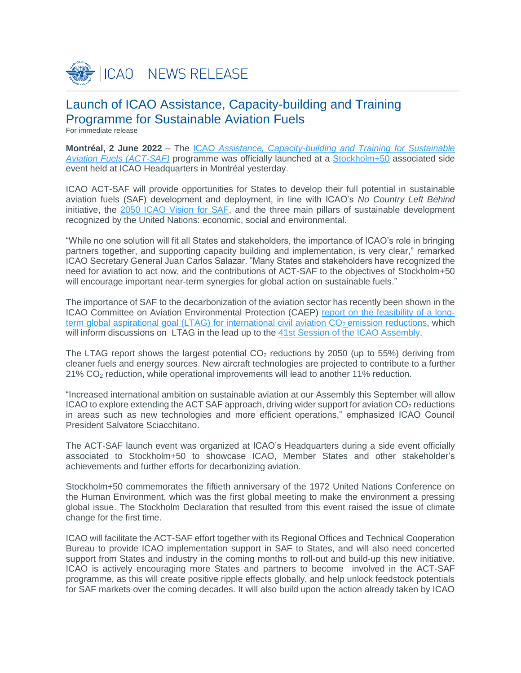

# Launch of ICAO Assistance, Capacity-building and Training Programme for Sustainable Aviation Fuels

For immediate release

**Montréal, 2 June 2022** – The ICAO *Assistance, [Capacity-building and Training for Sustainable](https://www.icao.int/environmental-protection/Pages/act-saf.aspx)  [Aviation Fuels \(ACT-SAF\)](https://www.icao.int/environmental-protection/Pages/act-saf.aspx)* programme was officially launched at a [Stockholm+50](https://www.stockholm50.global/) associated side event held at ICAO Headquarters in Montréal yesterday.

ICAO ACT-SAF will provide opportunities for States to develop their full potential in sustainable aviation fuels (SAF) development and deployment, in line with ICAO's *No Country Left Behind* initiative, the [2050 ICAO Vision for SAF,](https://www.icao.int/environmental-protection/GFAAF/pages/ICAO-Vision.aspx) and the three main pillars of sustainable development recognized by the United Nations: economic, social and environmental.

"While no one solution will fit all States and stakeholders, the importance of ICAO's role in bringing partners together, and supporting capacity building and implementation, is very clear," remarked ICAO Secretary General Juan Carlos Salazar. "Many States and stakeholders have recognized the need for aviation to act now, and the contributions of ACT-SAF to the objectives of Stockholm+50 will encourage important near-term synergies for global action on sustainable fuels."

The importance of SAF to the decarbonization of the aviation sector has recently been shown in the ICAO Committee on Aviation Environmental Protection (CAEP) report on [the feasibility of a](https://www.icao.int/environmental-protection/LTAG/Pages/LTAGreport.aspx) longterm global aspirational goal (LTAG) for international civil aviation  $CO<sub>2</sub>$  emission reductions, which will inform discussions on LTAG in the lead up to the 41st [Session of the ICAO Assembly.](https://www.icao.int/Meetings/a41/Pages/default.aspx)

The LTAG report shows the largest potential  $CO<sub>2</sub>$  reductions by 2050 (up to 55%) deriving from cleaner fuels and energy sources. New aircraft technologies are projected to contribute to a further 21% CO<sup>2</sup> reduction, while operational improvements will lead to another 11% reduction.

"Increased international ambition on sustainable aviation at our Assembly this September will allow ICAO to explore extending the ACT SAF approach, driving wider support for aviation  $CO<sub>2</sub>$  reductions in areas such as new technologies and more efficient operations," emphasized ICAO Council President Salvatore Sciacchitano.

The ACT-SAF launch event was organized at ICAO's Headquarters during a side event officially associated to Stockholm+50 to showcase ICAO, Member States and other stakeholder's achievements and further efforts for decarbonizing aviation.

Stockholm+50 commemorates the fiftieth anniversary of the 1972 United Nations Conference on the Human Environment, which was the first global meeting to make the environment a pressing global issue. The Stockholm Declaration that resulted from this event raised the issue of climate change for the first time.

ICAO will facilitate the ACT-SAF effort together with its Regional Offices and Technical Cooperation Bureau to provide ICAO implementation support in SAF to States, and will also need concerted support from States and industry in the coming months to roll-out and build-up this new initiative. ICAO is actively encouraging more States and partners to become involved in the ACT-SAF programme, as this will create positive ripple effects globally, and help unlock feedstock potentials for SAF markets over the coming decades. It will also build upon the action already taken by ICAO